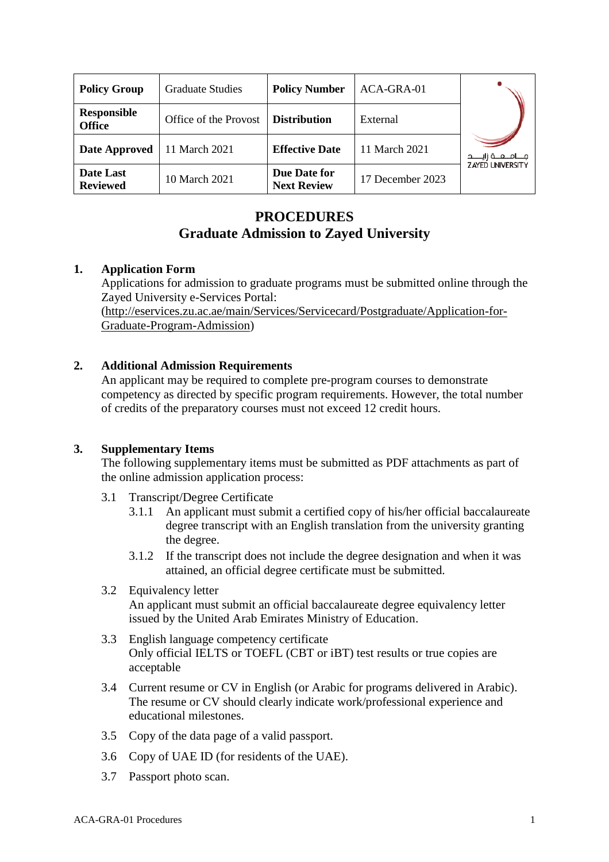| <b>Policy Group</b>                 | <b>Graduate Studies</b> | <b>Policy Number</b>               | ACA-GRA-01       |                         |
|-------------------------------------|-------------------------|------------------------------------|------------------|-------------------------|
| <b>Responsible</b><br><b>Office</b> | Office of the Provost   | <b>Distribution</b>                | External         | مـــامــــه زايـــــد   |
| <b>Date Approved</b>                | 11 March 2021           | <b>Effective Date</b>              | 11 March 2021    |                         |
| Date Last<br><b>Reviewed</b>        | 10 March 2021           | Due Date for<br><b>Next Review</b> | 17 December 2023 | <b>ZAYED UNIVERSITY</b> |

# **PROCEDURES Graduate Admission to Zayed University**

## **1. Application Form**

Applications for admission to graduate programs must be submitted online through the Zayed University e-Services Portal: [\(http://eservices.zu.ac.ae/main/Services/Servicecard/Postgraduate/Application-for-](http://eservices.zu.ac.ae/main/Services/Servicecard/Postgraduate/Application-for-Graduate-Program-Admission)[Graduate-Program-Admission\)](http://eservices.zu.ac.ae/main/Services/Servicecard/Postgraduate/Application-for-Graduate-Program-Admission)

## **2. Additional Admission Requirements**

An applicant may be required to complete pre-program courses to demonstrate competency as directed by specific program requirements. However, the total number of credits of the preparatory courses must not exceed 12 credit hours.

## **3. Supplementary Items**

The following supplementary items must be submitted as PDF attachments as part of the online admission application process:

- 3.1 Transcript/Degree Certificate
	- 3.1.1 An applicant must submit a certified copy of his/her official baccalaureate degree transcript with an English translation from the university granting the degree.
	- 3.1.2 If the transcript does not include the degree designation and when it was attained, an official degree certificate must be submitted.
- 3.2 Equivalency letter An applicant must submit an official baccalaureate degree equivalency letter issued by the United Arab Emirates Ministry of Education.
- 3.3 English language competency certificate Only official IELTS or TOEFL (CBT or iBT) test results or true copies are acceptable
- 3.4 Current resume or CV in English (or Arabic for programs delivered in Arabic). The resume or CV should clearly indicate work/professional experience and educational milestones.
- 3.5 Copy of the data page of a valid passport.
- 3.6 Copy of UAE ID (for residents of the UAE).
- 3.7 Passport photo scan.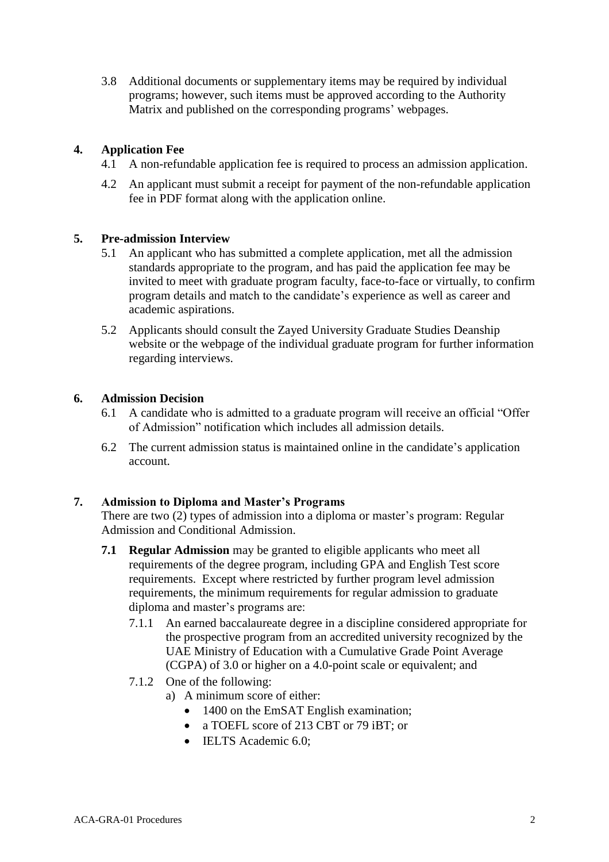3.8 Additional documents or supplementary items may be required by individual programs; however, such items must be approved according to the Authority Matrix and published on the corresponding programs' webpages.

## **4. Application Fee**

- 4.1 A non-refundable application fee is required to process an admission application.
- 4.2 An applicant must submit a receipt for payment of the non-refundable application fee in PDF format along with the application online.

#### **5. Pre-admission Interview**

- 5.1 An applicant who has submitted a complete application, met all the admission standards appropriate to the program, and has paid the application fee may be invited to meet with graduate program faculty, face-to-face or virtually, to confirm program details and match to the candidate's experience as well as career and academic aspirations.
- 5.2 Applicants should consult the Zayed University Graduate Studies Deanship website or the webpage of the individual graduate program for further information regarding interviews.

#### **6. Admission Decision**

- 6.1 A candidate who is admitted to a graduate program will receive an official "Offer of Admission" notification which includes all admission details.
- 6.2 The current admission status is maintained online in the candidate's application account.

## **7. Admission to Diploma and Master's Programs**

There are two (2) types of admission into a diploma or master's program: Regular Admission and Conditional Admission.

- **7.1 Regular Admission** may be granted to eligible applicants who meet all requirements of the degree program, including GPA and English Test score requirements. Except where restricted by further program level admission requirements, the minimum requirements for regular admission to graduate diploma and master's programs are:
	- 7.1.1 An earned baccalaureate degree in a discipline considered appropriate for the prospective program from an accredited university recognized by the UAE Ministry of Education with a Cumulative Grade Point Average (CGPA) of 3.0 or higher on a 4.0-point scale or equivalent; and
	- 7.1.2 One of the following:
		- a) A minimum score of either:
			- 1400 on the EmSAT English examination;
			- a TOEFL score of 213 CBT or 79 iBT; or
			- IELTS Academic 6.0: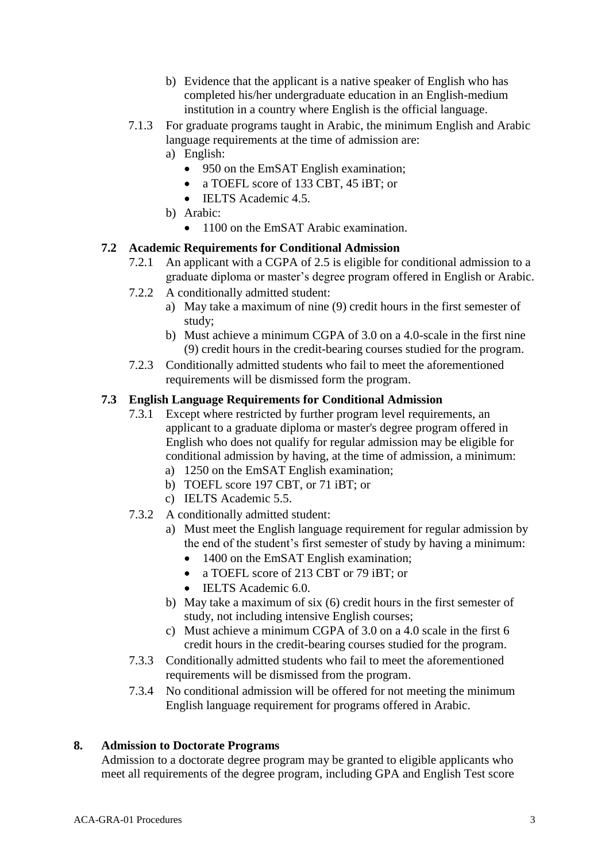- b) Evidence that the applicant is a native speaker of English who has completed his/her undergraduate education in an English-medium institution in a country where English is the official language.
- 7.1.3 For graduate programs taught in Arabic, the minimum English and Arabic language requirements at the time of admission are:
	- a) English:
		- 950 on the EmSAT English examination;
		- a TOEFL score of 133 CBT, 45 iBT; or
		- IELTS Academic 4.5.
	- b) Arabic:
		- 1100 on the EmSAT Arabic examination.

## **7.2 Academic Requirements for Conditional Admission**

- 7.2.1 An applicant with a CGPA of 2.5 is eligible for conditional admission to a graduate diploma or master's degree program offered in English or Arabic.
- 7.2.2 A conditionally admitted student:
	- a) May take a maximum of nine (9) credit hours in the first semester of study;
	- b) Must achieve a minimum CGPA of 3.0 on a 4.0-scale in the first nine (9) credit hours in the credit-bearing courses studied for the program.
- 7.2.3 Conditionally admitted students who fail to meet the aforementioned requirements will be dismissed form the program.

## **7.3 English Language Requirements for Conditional Admission**

- 7.3.1 Except where restricted by further program level requirements, an applicant to a graduate diploma or master's degree program offered in English who does not qualify for regular admission may be eligible for conditional admission by having, at the time of admission, a minimum:
	- a) 1250 on the EmSAT English examination;
	- b) TOEFL score 197 CBT, or 71 iBT; or
	- c) IELTS Academic 5.5.
- 7.3.2 A conditionally admitted student:
	- a) Must meet the English language requirement for regular admission by the end of the student's first semester of study by having a minimum:
		- 1400 on the EmSAT English examination;
		- a TOEFL score of 213 CBT or 79 iBT; or
		- IELTS Academic 6.0.
	- b) May take a maximum of six (6) credit hours in the first semester of study, not including intensive English courses;
	- c) Must achieve a minimum CGPA of 3.0 on a 4.0 scale in the first 6 credit hours in the credit-bearing courses studied for the program.
- 7.3.3 Conditionally admitted students who fail to meet the aforementioned requirements will be dismissed from the program.
- 7.3.4 No conditional admission will be offered for not meeting the minimum English language requirement for programs offered in Arabic.

## **8. Admission to Doctorate Programs**

Admission to a doctorate degree program may be granted to eligible applicants who meet all requirements of the degree program, including GPA and English Test score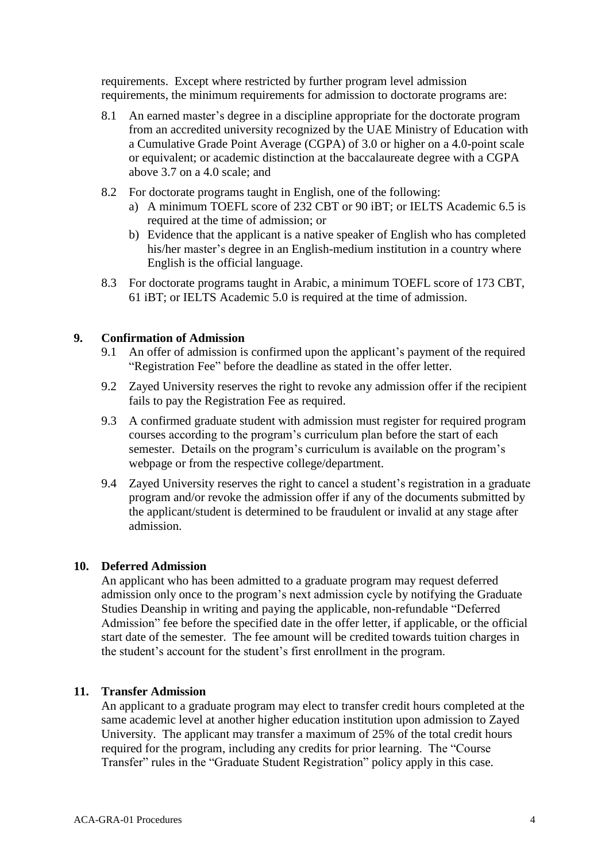requirements. Except where restricted by further program level admission requirements, the minimum requirements for admission to doctorate programs are:

- 8.1 An earned master's degree in a discipline appropriate for the doctorate program from an accredited university recognized by the UAE Ministry of Education with a Cumulative Grade Point Average (CGPA) of 3.0 or higher on a 4.0-point scale or equivalent; or academic distinction at the baccalaureate degree with a CGPA above 3.7 on a 4.0 scale; and
- 8.2 For doctorate programs taught in English, one of the following:
	- a) A minimum TOEFL score of 232 CBT or 90 iBT; or IELTS Academic 6.5 is required at the time of admission; or
	- b) Evidence that the applicant is a native speaker of English who has completed his/her master's degree in an English-medium institution in a country where English is the official language.
- 8.3 For doctorate programs taught in Arabic, a minimum TOEFL score of 173 CBT, 61 iBT; or IELTS Academic 5.0 is required at the time of admission.

#### **9. Confirmation of Admission**

- 9.1 An offer of admission is confirmed upon the applicant's payment of the required "Registration Fee" before the deadline as stated in the offer letter.
- 9.2 Zayed University reserves the right to revoke any admission offer if the recipient fails to pay the Registration Fee as required.
- 9.3 A confirmed graduate student with admission must register for required program courses according to the program's curriculum plan before the start of each semester. Details on the program's curriculum is available on the program's webpage or from the respective college/department.
- 9.4 Zayed University reserves the right to cancel a student's registration in a graduate program and/or revoke the admission offer if any of the documents submitted by the applicant/student is determined to be fraudulent or invalid at any stage after admission.

#### **10. Deferred Admission**

An applicant who has been admitted to a graduate program may request deferred admission only once to the program's next admission cycle by notifying the Graduate Studies Deanship in writing and paying the applicable, non-refundable "Deferred Admission" fee before the specified date in the offer letter, if applicable, or the official start date of the semester. The fee amount will be credited towards tuition charges in the student's account for the student's first enrollment in the program.

#### **11. Transfer Admission**

An applicant to a graduate program may elect to transfer credit hours completed at the same academic level at another higher education institution upon admission to Zayed University. The applicant may transfer a maximum of 25% of the total credit hours required for the program, including any credits for prior learning. The "Course Transfer" rules in the "Graduate Student Registration" policy apply in this case.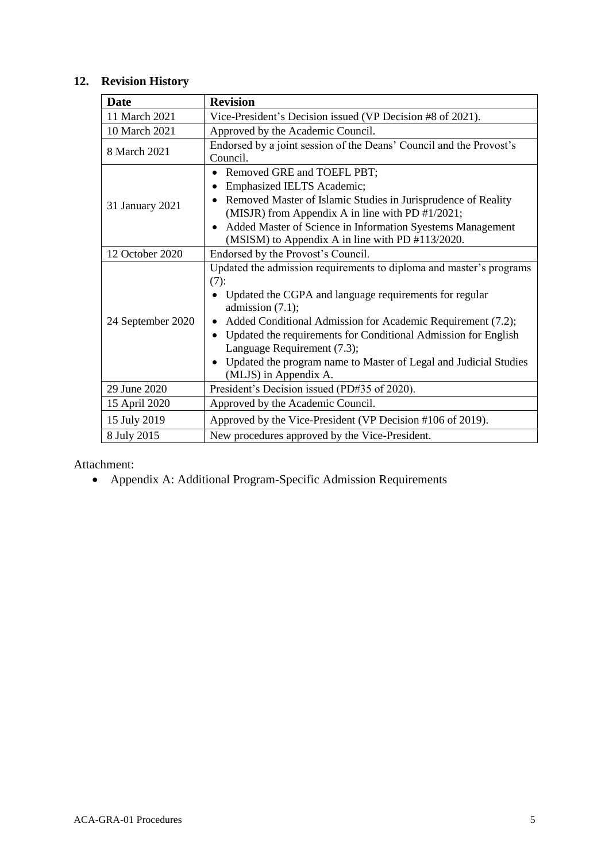## **12. Revision History**

| <b>Date</b>       | <b>Revision</b>                                                                                                                                                                                                                                                                                                                                                                                                                                       |  |  |
|-------------------|-------------------------------------------------------------------------------------------------------------------------------------------------------------------------------------------------------------------------------------------------------------------------------------------------------------------------------------------------------------------------------------------------------------------------------------------------------|--|--|
| 11 March 2021     | Vice-President's Decision issued (VP Decision #8 of 2021).                                                                                                                                                                                                                                                                                                                                                                                            |  |  |
| 10 March 2021     | Approved by the Academic Council.                                                                                                                                                                                                                                                                                                                                                                                                                     |  |  |
| 8 March 2021      | Endorsed by a joint session of the Deans' Council and the Provost's<br>Council.                                                                                                                                                                                                                                                                                                                                                                       |  |  |
| 31 January 2021   | Removed GRE and TOEFL PBT;<br>Emphasized IELTS Academic;<br>$\bullet$<br>Removed Master of Islamic Studies in Jurisprudence of Reality<br>(MISJR) from Appendix A in line with PD #1/2021;<br>Added Master of Science in Information Syestems Management<br>$\bullet$<br>(MSISM) to Appendix A in line with PD #113/2020.                                                                                                                             |  |  |
| 12 October 2020   | Endorsed by the Provost's Council.                                                                                                                                                                                                                                                                                                                                                                                                                    |  |  |
| 24 September 2020 | Updated the admission requirements to diploma and master's programs<br>(7):<br>Updated the CGPA and language requirements for regular<br>admission $(7.1)$ ;<br>Added Conditional Admission for Academic Requirement (7.2);<br>$\bullet$<br>Updated the requirements for Conditional Admission for English<br>$\bullet$<br>Language Requirement (7.3);<br>• Updated the program name to Master of Legal and Judicial Studies<br>(MLJS) in Appendix A. |  |  |
| 29 June 2020      | President's Decision issued (PD#35 of 2020).                                                                                                                                                                                                                                                                                                                                                                                                          |  |  |
| 15 April 2020     | Approved by the Academic Council.                                                                                                                                                                                                                                                                                                                                                                                                                     |  |  |
| 15 July 2019      | Approved by the Vice-President (VP Decision #106 of 2019).                                                                                                                                                                                                                                                                                                                                                                                            |  |  |
| 8 July 2015       | New procedures approved by the Vice-President.                                                                                                                                                                                                                                                                                                                                                                                                        |  |  |

Attachment:

• Appendix A: Additional Program-Specific Admission Requirements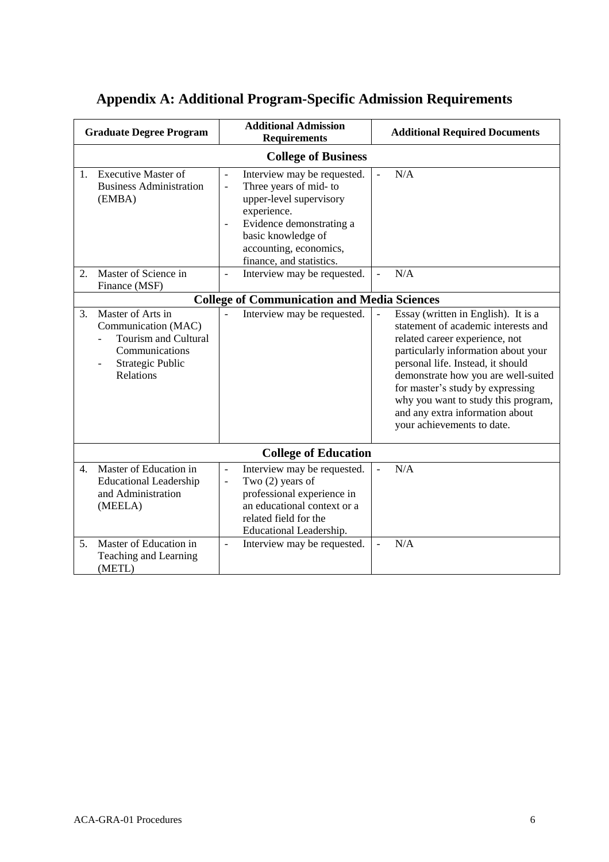| <b>Graduate Degree Program</b> |                                                                                                                                             | <b>Additional Admission</b><br><b>Requirements</b>                                                                                                                                                                                                           | <b>Additional Required Documents</b>                                                                                                                                                                                                                                                                                                                                        |  |  |  |  |  |  |
|--------------------------------|---------------------------------------------------------------------------------------------------------------------------------------------|--------------------------------------------------------------------------------------------------------------------------------------------------------------------------------------------------------------------------------------------------------------|-----------------------------------------------------------------------------------------------------------------------------------------------------------------------------------------------------------------------------------------------------------------------------------------------------------------------------------------------------------------------------|--|--|--|--|--|--|
| <b>College of Business</b>     |                                                                                                                                             |                                                                                                                                                                                                                                                              |                                                                                                                                                                                                                                                                                                                                                                             |  |  |  |  |  |  |
| $\mathbf{1}$ .                 | <b>Executive Master of</b><br><b>Business Administration</b><br>(EMBA)                                                                      | Interview may be requested.<br>$\overline{a}$<br>Three years of mid- to<br>$\frac{1}{2}$<br>upper-level supervisory<br>experience.<br>Evidence demonstrating a<br>$\overline{a}$<br>basic knowledge of<br>accounting, economics,<br>finance, and statistics. | N/A<br>$\overline{\phantom{a}}$                                                                                                                                                                                                                                                                                                                                             |  |  |  |  |  |  |
| 2.                             | Master of Science in<br>Finance (MSF)                                                                                                       | Interview may be requested.<br>$\overline{a}$                                                                                                                                                                                                                | N/A                                                                                                                                                                                                                                                                                                                                                                         |  |  |  |  |  |  |
|                                |                                                                                                                                             | <b>College of Communication and Media Sciences</b>                                                                                                                                                                                                           |                                                                                                                                                                                                                                                                                                                                                                             |  |  |  |  |  |  |
| 3.                             | Master of Arts in<br>Communication (MAC)<br><b>Tourism and Cultural</b><br>Communications<br>Strategic Public<br><b>Relations</b>           | Interview may be requested.                                                                                                                                                                                                                                  | Essay (written in English). It is a<br>statement of academic interests and<br>related career experience, not<br>particularly information about your<br>personal life. Instead, it should<br>demonstrate how you are well-suited<br>for master's study by expressing<br>why you want to study this program,<br>and any extra information about<br>your achievements to date. |  |  |  |  |  |  |
|                                |                                                                                                                                             | <b>College of Education</b>                                                                                                                                                                                                                                  |                                                                                                                                                                                                                                                                                                                                                                             |  |  |  |  |  |  |
| 4.<br>5.                       | Master of Education in<br><b>Educational Leadership</b><br>and Administration<br>(MEELA)<br>Master of Education in<br>Teaching and Learning | Interview may be requested.<br>$\overline{a}$<br>Two $(2)$ years of<br>$\blacksquare$<br>professional experience in<br>an educational context or a<br>related field for the<br>Educational Leadership.<br>Interview may be requested.<br>$\overline{a}$      | N/A<br>N/A                                                                                                                                                                                                                                                                                                                                                                  |  |  |  |  |  |  |
|                                | (METL)                                                                                                                                      |                                                                                                                                                                                                                                                              |                                                                                                                                                                                                                                                                                                                                                                             |  |  |  |  |  |  |

# **Appendix A: Additional Program-Specific Admission Requirements**